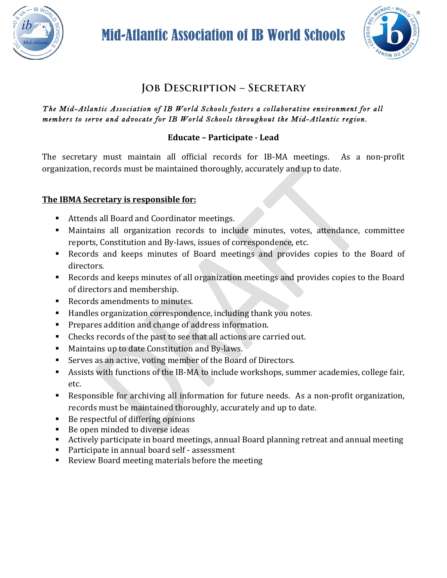

Mid-Atlantic Association of IB World Schools



# **Job Description – Secretary**

#### *The Mid-Atlantic Association of IB World Schools fosters a collaborative environment for all members to serve and advocate for IB World Schools throughout the Mid-Atlantic region.*

## **Educate – Participate - Lead**

The secretary must maintain all official records for IB-MA meetings. As a non-profit organization, records must be maintained thoroughly, accurately and up to date.

### **The IBMA Secretary is responsible for:**

- Attends all Board and Coordinator meetings.
- Maintains all organization records to include minutes, votes, attendance, committee reports, Constitution and By-laws, issues of correspondence, etc.
- Records and keeps minutes of Board meetings and provides copies to the Board of directors.
- Records and keeps minutes of all organization meetings and provides copies to the Board of directors and membership.
- Records amendments to minutes.
- Handles organization correspondence, including thank you notes.
- Prepares addition and change of address information.
- Checks records of the past to see that all actions are carried out.
- Maintains up to date Constitution and By-laws.
- Serves as an active, voting member of the Board of Directors.
- Assists with functions of the IB-MA to include workshops, summer academies, college fair, etc.
- Responsible for archiving all information for future needs. As a non-profit organization, records must be maintained thoroughly, accurately and up to date.
- Be respectful of differing opinions
- Be open minded to diverse ideas
- Actively participate in board meetings, annual Board planning retreat and annual meeting
- $\blacksquare$  Participate in annual board self assessment
- Review Board meeting materials before the meeting